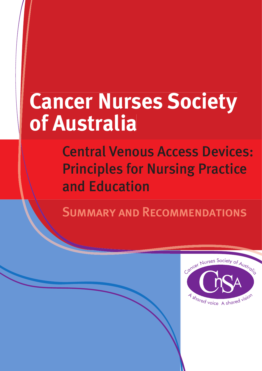# **Cancer Nurses Society pdf** Australia

**Central Venous Access Devices: Principles for Nursing Practice** and Education

**SUMMARY AND RECOMMENDATIONS** 

Principles for Nursing Practice and Education CANCER NURSES SOCIETY OF AUSTRALIA

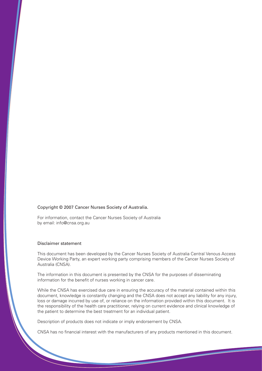#### Copyright © 2007 Cancer Nurses Society of Australia.

For information, contact the Cancer Nurses Society of Australia by email: info@cnsa.org.au

#### Disclaimer statement

This document has been developed by the Cancer Nurses Society of Australia Central Venous Access Device Working Party, an expert working party comprising members of the Cancer Nurses Society of Australia (CNSA).

The information in this document is presented by the CNSA for the purposes of disseminating information for the benefit of nurses working in cancer care.

While the CNSA has exercised due care in ensuring the accuracy of the material contained within this document, knowledge is constantly changing and the CNSA does not accept any liability for any injury, loss or damage incurred by use of, or reliance on the information provided within this document. It is the responsibility of the health care practitioner, relying on current evidence and clinical knowledge of the patient to determine the best treatment for an individual patient.

Description of products does not indicate or imply endorsement by CNSA.

CNSA has no financial interest with the manufacturers of any products mentioned in this document.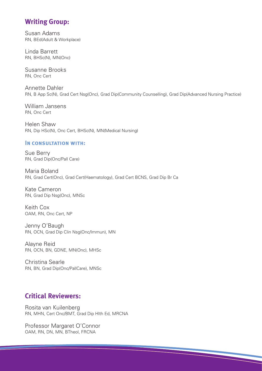# **Writing Group:**

Susan Adams RN, BEd(Adult & Workplace)

Linda Barrett RN, BHSc(N), MN(Onc)

Susanne Brooks RN, Onc Cert

Annette Dahler RN, B App Sc(N), Grad Cert Nsg(Onc), Grad Dip(Community Counselling), Grad Dip(Advanced Nursing Practice)

William Jansens RN, Onc Cert

Helen Shaw RN, Dip HSc(N), Onc Cert, BHSc(N), MN(Medical Nursing)

#### IN CONSULTATION WITH:

Sue Berry RN, Grad Dip(Onc/Pall Care)

Maria Boland RN, Grad Cert(Onc), Grad Cert(Haematology), Grad Cert BCNS, Grad Dip Br Ca

Kate Cameron RN, Grad Dip Nsg(Onc), MNSc

Keith Cox OAM, RN, Onc Cert, NP

Jenny O'Baugh RN, OCN, Grad Dip Clin Nsg(Onc/Immun), MN

Alayne Reid RN, OCN, BN, GDNE, MN(Onc), MHSc

Christina Searle RN, BN, Grad Dip(Onc/PallCare), MNSc

# **Critical Reviewers:**

Rosita van Kuilenberg RN, MHN, Cert Onc/BMT, Grad Dip Hlth Ed, MRCNA

Professor Margaret O'Connor OAM, RN, DN, MN, BTheol, FRCNA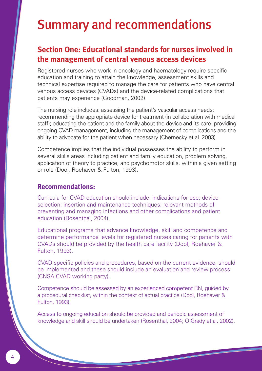# Summary and recommendations

# **Section One: Educational standards for nurses involved in the management of central venous access devices**

Registered nurses who work in oncology and haematology require specific education and training to attain the knowledge, assessment skills and technical expertise required to manage the care for patients who have central venous access devices (CVADs) and the device-related complications that patients may experience (Goodman, 2002).

The nursing role includes: assessing the patient's vascular access needs; recommending the appropriate device for treatment (in collaboration with medical staff); educating the patient and the family about the device and its care; providing ongoing CVAD management, including the management of complications and the ability to advocate for the patient when necessary (Chernecky et al. 2003).

Competence implies that the individual possesses the ability to perform in several skills areas including patient and family education, problem solving, application of theory to practice, and psychomotor skills, within a given setting or role (Dool, Roehaver & Fulton, 1993).

### **Recommendations:**

Curricula for CVAD education should include: indications for use; device selection; insertion and maintenance techniques; relevant methods of preventing and managing infections and other complications and patient education (Rosenthal, 2004).

Educational programs that advance knowledge, skill and competence and determine performance levels for registered nurses caring for patients with CVADs should be provided by the health care facility (Dool, Roehaver & Fulton, 1993).

CVAD specific policies and procedures, based on the current evidence, should be implemented and these should include an evaluation and review process (CNSA CVAD working party).

Competence should be assessed by an experienced competent RN, guided by a procedural checklist, within the context of actual practice (Dool, Roehaver & Fulton, 1993).

Access to ongoing education should be provided and periodic assessment of knowledge and skill should be undertaken (Rosenthal, 2004; O'Grady et al. 2002).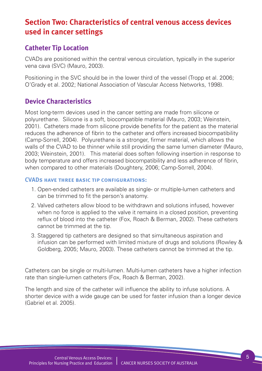# **Section Two: Characteristics of central venous access devices used in cancer settings**

# **Catheter Tip Location**

CVADs are positioned within the central venous circulation, typically in the superior vena cava (SVC) (Mauro, 2003).

Positioning in the SVC should be in the lower third of the vessel (Tropp et al. 2006; O'Grady et al. 2002; National Association of Vascular Access Networks, 1998).

# **Device Characteristics**

Most long-term devices used in the cancer setting are made from silicone or polyurethane. Silicone is a soft, biocompatible material (Mauro, 2003; Weinstein, 2001). Catheters made from silicone provide benefits for the patient as the material reduces the adherence of fibrin to the catheter and offers increased biocompatibility (Camp-Sorrell, 2004). Polyurethane is a stronger, firmer material, which allows the walls of the CVAD to be thinner while still providing the same lumen diameter (Mauro, 2003; Weinstein, 2001). This material does soften following insertion in response to body temperature and offers increased biocompatibility and less adherence of fibrin, when compared to other materials (Doughtery, 2006; Camp-Sorrell, 2004).

#### **CVADs have three basic tip configurations:**

- 1. Open-ended catheters are available as single- or multiple-lumen catheters and can be trimmed to fit the person's anatomy.
- 2. Valved catheters allow blood to be withdrawn and solutions infused, however when no force is applied to the valve it remains in a closed position, preventing reflux of blood into the catheter (Fox, Roach & Berman, 2002). These catheters cannot be trimmed at the tip.
- 3. Staggered tip catheters are designed so that simultaneous aspiration and infusion can be performed with limited mixture of drugs and solutions (Rowley & Goldberg, 2005; Mauro, 2003). These catheters cannot be trimmed at the tip.

Catheters can be single or multi-lumen. Multi-lumen catheters have a higher infection rate than single-lumen catheters (Fox, Roach & Berman, 2002).

The length and size of the catheter will influence the ability to infuse solutions. A shorter device with a wide gauge can be used for faster infusion than a longer device (Gabriel et al. 2005).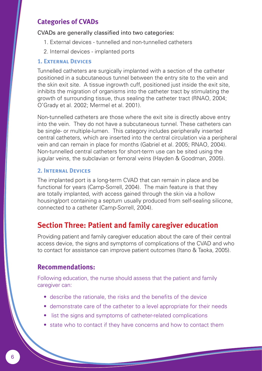# **Categories of CVADs**

#### CVADs are generally classified into two categories:

- 1. External devices tunnelled and non-tunnelled catheters
- 2. Internal devices implanted ports

#### **1. External Devices**

Tunnelled catheters are surgically implanted with a section of the catheter positioned in a subcutaneous tunnel between the entry site to the vein and the skin exit site. A tissue ingrowth cuff, positioned just inside the exit site, inhibits the migration of organisms into the catheter tract by stimulating the growth of surrounding tissue, thus sealing the catheter tract (RNAO, 2004; O'Grady et al. 2002; Mermel et al. 2001).

Non-tunnelled catheters are those where the exit site is directly above entry into the vein. They do not have a subcutaneous tunnel. These catheters can be single- or multiple-lumen. This category includes peripherally inserted central catheters, which are inserted into the central circulation via a peripheral vein and can remain in place for months (Gabriel et al. 2005; RNAO, 2004). Non-tunnelled central catheters for short-term use can be sited using the jugular veins, the subclavian or femoral veins (Hayden & Goodman, 2005).

#### **2. Internal Devices**

The implanted port is a long-term CVAD that can remain in place and be functional for years (Camp-Sorrell, 2004). The main feature is that they are totally implanted, with access gained through the skin via a hollow housing/port containing a septum usually produced from self-sealing silicone, connected to a catheter (Camp-Sorrell, 2004).

# **Section Three: Patient and family caregiver education**

Providing patient and family caregiver education about the care of their central access device, the signs and symptoms of complications of the CVAD and who to contact for assistance can improve patient outcomes (Itano & Taoka, 2005).

#### **Recommendations:**

Following education, the nurse should assess that the patient and family caregiver can:

- describe the rationale, the risks and the benefits of the device
- demonstrate care of the catheter to a level appropriate for their needs
- list the signs and symptoms of catheter-related complications
- state who to contact if they have concerns and how to contact them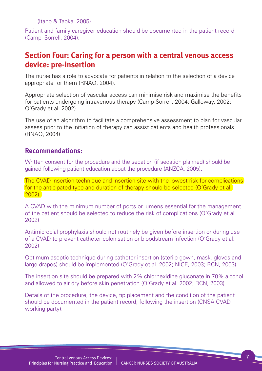(Itano & Taoka, 2005).

Patient and family caregiver education should be documented in the patient record (Camp–Sorrell, 2004).

# **Section Four: Caring for a person with a central venous access device: pre-insertion**

The nurse has a role to advocate for patients in relation to the selection of a device appropriate for them (RNAO, 2004).

Appropriate selection of vascular access can minimise risk and maximise the benefits for patients undergoing intravenous therapy (Camp-Sorrell, 2004; Galloway, 2002; O'Grady et al. 2002).

The use of an algorithm to facilitate a comprehensive assessment to plan for vascular assess prior to the initiation of therapy can assist patients and health professionals (RNAO, 2004).

# **Recommendations:**

Written consent for the procedure and the sedation (if sedation planned) should be gained following patient education about the procedure (ANZCA, 2005).

The CVAD insertion technique and insertion site with the lowest risk for complications for the anticipated type and duration of therapy should be selected (O'Grady et al. 2002).

A CVAD with the minimum number of ports or lumens essential for the management of the patient should be selected to reduce the risk of complications (O'Grady et al. 2002).

Antimicrobial prophylaxis should not routinely be given before insertion or during use of a CVAD to prevent catheter colonisation or bloodstream infection (O'Grady et al. 2002).

Optimum aseptic technique during catheter insertion (sterile gown, mask, gloves and large drapes) should be implemented (O'Grady et al. 2002; NICE, 2003; RCN, 2003).

The insertion site should be prepared with 2% chlorhexidine gluconate in 70% alcohol and allowed to air dry before skin penetration (O'Grady et al. 2002; RCN, 2003).

Details of the procedure, the device, tip placement and the condition of the patient should be documented in the patient record, following the insertion (CNSA CVAD working party).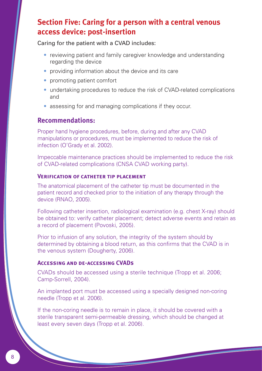# **Section Five: Caring for a person with a central venous access device: post-insertion**

Caring for the patient with a CVAD includes:

- reviewing patient and family caregiver knowledge and understanding regarding the device
- providing information about the device and its care
- promoting patient comfort
- undertaking procedures to reduce the risk of CVAD-related complications and
- assessing for and managing complications if they occur.

# **Recommendations:**

Proper hand hygiene procedures, before, during and after any CVAD manipulations or procedures, must be implemented to reduce the risk of infection (O'Grady et al. 2002).

Impeccable maintenance practices should be implemented to reduce the risk of CVAD-related complications (CNSA CVAD working party).

#### **Verification of catheter tip placement**

The anatomical placement of the catheter tip must be documented in the patient record and checked prior to the initiation of any therapy through the device (RNAO, 2005).

Following catheter insertion, radiological examination (e.g. chest X-ray) should be obtained to: verify catheter placement; detect adverse events and retain as a record of placement (Povoski, 2005).

Prior to infusion of any solution, the integrity of the system should by determined by obtaining a blood return, as this confirms that the CVAD is in the venous system (Dougherty, 2006).

#### **Accessing and de-accessing CVADs**

CVADs should be accessed using a sterile technique (Tropp et al. 2006; Camp-Sorrell, 2004).

An implanted port must be accessed using a specially designed non-coring needle (Tropp et al. 2006).

If the non-coring needle is to remain in place, it should be covered with a sterile transparent semi-permeable dressing, which should be changed at least every seven days (Tropp et al. 2006).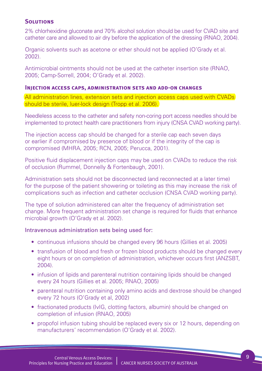#### **Solutions**

2% chlorhexidine gluconate and 70% alcohol solution should be used for CVAD site and catheter care and allowed to air dry before the application of the dressing (RNAO, 2004).

Organic solvents such as acetone or ether should not be applied (O'Grady et al. 2002).

Antimicrobial ointments should not be used at the catheter insertion site (RNAO, 2005; Camp-Sorrell, 2004; O'Grady et al. 2002).

#### **Injection access caps, administration sets and add-on changes**

All administration lines, extension sets and injection access caps used with CVADs should be sterile, luer-lock design (Tropp et al. 2006).

Needleless access to the catheter and safety non-coring port access needles should be implemented to protect health care practitioners from injury (CNSA CVAD working party).

The injection access cap should be changed for a sterile cap each seven days or earlier if compromised by presence of blood or if the integrity of the cap is compromised (MHRA, 2005; RCN, 2005; Perucca, 2001).

Positive fluid displacement injection caps may be used on CVADs to reduce the risk of occlusion (Rummel, Donnelly & Fortenbaugh, 2001).

Administration sets should not be disconnected (and reconnected at a later time) for the purpose of the patient showering or toileting as this may increase the risk of complications such as infection and catheter occlusion (CNSA CVAD working party).

The type of solution administered can alter the frequency of administration set change. More frequent administration set change is required for fluids that enhance microbial growth (O'Grady et al. 2002).

#### Intravenous administration sets being used for:

- continuous infusions should be changed every 96 hours (Gillies et al. 2005)
- transfusion of blood and fresh or frozen blood products should be changed every eight hours or on completion of administration, whichever occurs first (ANZSBT, 2004).
- infusion of lipids and parenteral nutrition containing lipids should be changed every 24 hours (Gillies et al. 2005; RNAO, 2005)
- parenteral nutrition containing only amino acids and dextrose should be changed every 72 hours (O'Grady et al, 2002)
- fractionated products (IvIG, clotting factors, albumin) should be changed on completion of infusion (RNAO, 2005)
- propofol infusion tubing should be replaced every six or 12 hours, depending on manufacturers' recommendation (O'Grady et al. 2002).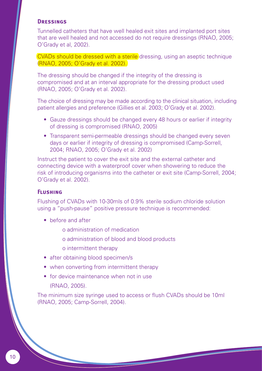#### **Dressings**

Tunnelled catheters that have well healed exit sites and implanted port sites that are well healed and not accessed do not require dressings (RNAO, 2005; O'Grady et al, 2002).

CVADs should be dressed with a sterile dressing, using an aseptic technique (RNAO, 2005; O'Grady et al. 2002).

The dressing should be changed if the integrity of the dressing is compromised and at an interval appropriate for the dressing product used (RNAO, 2005; O'Grady et al. 2002).

The choice of dressing may be made according to the clinical situation, including patient allergies and preference (Gillies et al. 2003; O'Grady et al. 2002).

- Gauze dressings should be changed every 48 hours or earlier if integrity of dressing is compromised (RNAO, 2005)
- Transparent semi-permeable dressings should be changed every seven days or earlier if integrity of dressing is compromised (Camp-Sorrell, 2004; RNAO, 2005; O'Grady et al. 2002)

Instruct the patient to cover the exit site and the external catheter and connecting device with a waterproof cover when showering to reduce the risk of introducing organisms into the catheter or exit site (Camp-Sorrell, 2004; O'Grady et al. 2002).

#### **Flushing**

Flushing of CVADs with 10-30mls of 0.9% sterile sodium chloride solution using a "push-pause" positive pressure technique is recommended:

- before and after
	- o administration of medication
	- o administration of blood and blood products
	- o intermittent therapy
- after obtaining blood specimen/s
- when converting from intermittent therapy
- for device maintenance when not in use

(RNAO, 2005).

The minimum size syringe used to access or flush CVADs should be 10ml (RNAO, 2005; Camp-Sorrell, 2004).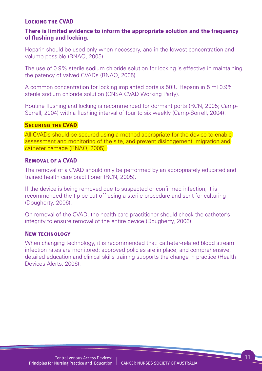#### **Locking the CVAD**

#### **There is limited evidence to inform the appropriate solution and the frequency of flushing and locking.**

Heparin should be used only when necessary, and in the lowest concentration and volume possible (RNAO, 2005).

The use of 0.9% sterile sodium chloride solution for locking is effective in maintaining the patency of valved CVADs (RNAO, 2005).

A common concentration for locking implanted ports is 50IU Heparin in 5 ml 0.9% sterile sodium chloride solution (CNSA CVAD Working Party).

Routine flushing and locking is recommended for dormant ports (RCN, 2005; Camp-Sorrell, 2004) with a flushing interval of four to six weekly (Camp-Sorrell, 2004).

#### **SECURING THE CVAD**

All CVADs should be secured using a method appropriate for the device to enable assessment and monitoring of the site, and prevent dislodgement, migration and catheter damage (RNAO, 2005).

#### **Removal of a CVAD**

The removal of a CVAD should only be performed by an appropriately educated and trained health care practitioner (RCN, 2005).

If the device is being removed due to suspected or confirmed infection, it is recommended the tip be cut off using a sterile procedure and sent for culturing (Dougherty, 2006).

On removal of the CVAD, the health care practitioner should check the catheter's integrity to ensure removal of the entire device (Dougherty, 2006).

#### **New technology**

When changing technology, it is recommended that: catheter-related blood stream infection rates are monitored; approved policies are in place; and comprehensive, detailed education and clinical skills training supports the change in practice (Health Devices Alerts, 2006).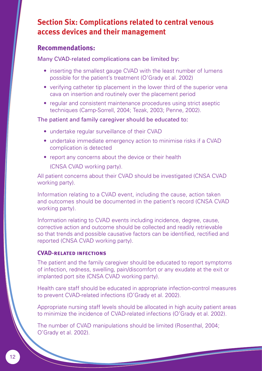# **Section Six: Complications related to central venous access devices and their management**

### **Recommendations:**

Many CVAD-related complications can be limited by:

- inserting the smallest gauge CVAD with the least number of lumens possible for the patient's treatment (O'Grady et al. 2002)
- verifying catheter tip placement in the lower third of the superior vena cava on insertion and routinely over the placement period
- regular and consistent maintenance procedures using strict aseptic techniques (Camp-Sorrell, 2004; Tezak, 2003; Penne, 2002).

#### The patient and family caregiver should be educated to:

- undertake regular surveillance of their CVAD
- undertake immediate emergency action to minimise risks if a CVAD complication is detected
- report any concerns about the device or their health
	- (CNSA CVAD working party).

All patient concerns about their CVAD should be investigated (CNSA CVAD working party).

Information relating to a CVAD event, including the cause, action taken and outcomes should be documented in the patient's record (CNSA CVAD working party).

Information relating to CVAD events including incidence, degree, cause, corrective action and outcome should be collected and readily retrievable so that trends and possible causative factors can be identified, rectified and reported (CNSA CVAD working party).

#### **CVAD-related infections**

The patient and the family caregiver should be educated to report symptoms of infection, redness, swelling, pain/discomfort or any exudate at the exit or implanted port site (CNSA CVAD working party).

Health care staff should be educated in appropriate infection-control measures to prevent CVAD-related infections (O'Grady et al. 2002).

Appropriate nursing staff levels should be allocated in high acuity patient areas to minimize the incidence of CVAD-related infections (O'Grady et al. 2002).

The number of CVAD manipulations should be limited (Rosenthal, 2004; O'Grady et al. 2002).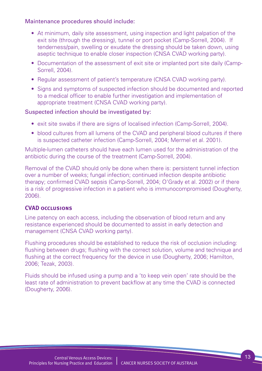#### Maintenance procedures should include:

- At minimum, daily site assessment, using inspection and light palpation of the exit site (through the dressing), tunnel or port pocket (Camp-Sorrell, 2004). If tenderness/pain, swelling or exudate the dressing should be taken down, using aseptic technique to enable closer inspection (CNSA CVAD working party).
- Documentation of the assessment of exit site or implanted port site daily (Camp-Sorrell, 2004).
- Regular assessment of patient's temperature (CNSA CVAD working party).
- Signs and symptoms of suspected infection should be documented and reported to a medical officer to enable further investigation and implementation of appropriate treatment (CNSA CVAD working party).

#### Suspected infection should be investigated by:

- exit site swabs if there are signs of localised infection (Camp-Sorrell, 2004).
- blood cultures from all lumens of the CVAD and peripheral blood cultures if there is suspected catheter infection (Camp-Sorrell, 2004; Mermel et al. 2001).

Multiple-lumen catheters should have each lumen used for the administration of the antibiotic during the course of the treatment (Camp-Sorrell, 2004).

Removal of the CVAD should only be done when there is: persistent tunnel infection over a number of weeks; fungal infection; continued infection despite antibiotic therapy; confirmed CVAD sepsis (Camp-Sorrell, 2004; O'Grady et al. 2002) or if there is a risk of progressive infection in a patient who is immunocompromised (Dougherty, 2006).

#### **CVAD occlusions**

Line patency on each access, including the observation of blood return and any resistance experienced should be documented to assist in early detection and management (CNSA CVAD working party).

Flushing procedures should be established to reduce the risk of occlusion including: flushing between drugs; flushing with the correct solution, volume and technique and flushing at the correct frequency for the device in use (Dougherty, 2006; Hamilton, 2006; Tezak, 2003).

Fluids should be infused using a pump and a 'to keep vein open' rate should be the least rate of administration to prevent backflow at any time the CVAD is connected (Dougherty, 2006).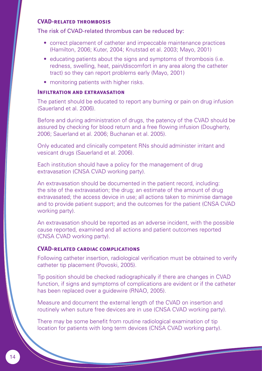#### **CVAD-related thrombosis**

#### The risk of CVAD-related thrombus can be reduced by:

- correct placement of catheter and impeccable maintenance practices (Hamilton, 2006; Kuter, 2004; Knutstad et al. 2003; Mayo, 2001)
- educating patients about the signs and symptoms of thrombosis (i.e. redness, swelling, heat, pain/discomfort in any area along the catheter tract) so they can report problems early (Mayo, 2001)
- monitoring patients with higher risks.

#### **Infiltration and extravasation**

The patient should be educated to report any burning or pain on drug infusion (Sauerland et al. 2006).

Before and during administration of drugs, the patency of the CVAD should be assured by checking for blood return and a free flowing infusion (Dougherty, 2006; Sauerland et al. 2006; Buchanan et al. 2005).

Only educated and clinically competent RNs should administer irritant and vesicant drugs (Sauerland et al. 2006).

Each institution should have a policy for the management of drug extravasation (CNSA CVAD working party).

An extravasation should be documented in the patient record, including: the site of the extravasation; the drug; an estimate of the amount of drug extravasated; the access device in use; all actions taken to minimise damage and to provide patient support; and the outcomes for the patient (CNSA CVAD working party).

An extravasation should be reported as an adverse incident, with the possible cause reported, examined and all actions and patient outcomes reported (CNSA CVAD working party).

#### **CVAD-related cardiac complications**

Following catheter insertion, radiological verification must be obtained to verify catheter tip placement (Povoski, 2005).

Tip position should be checked radiographically if there are changes in CVAD function, if signs and symptoms of complications are evident or if the catheter has been replaced over a guidewire (RNAO, 2005).

Measure and document the external length of the CVAD on insertion and routinely when suture free devices are in use (CNSA CVAD working party).

There may be some benefit from routine radiological examination of tip location for patients with long term devices (CNSA CVAD working party).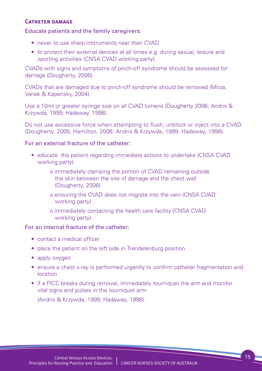#### **Catheter damage**

#### Educate patients and the family caregivers:

- never to use sharp instruments near their CVAD
- to protect their external devices at all times e.g. during sexual, leisure and sporting activities (CNSA CVAD working party).

CVADs with signs and symptoms of pinch-off syndrome should be assessed for damage (Dougherty, 2006).

CVADs that are damaged due to pinch-off syndrome should be removed (Mirza, Vanek & Kapensky, 2004).

Use a 10ml or greater syringe size on all CVAD lumens (Dougherty 2006; Andris & Krzywda, 1999; Hadaway, 1998).

Do not use excessive force when attempting to flush, unblock or inject into a CVAD (Dougherty, 2006; Hamilton, 2006; Andris & Krzywda, 1999; Hadaway, 1998).

#### For an external fracture of the catheter:

- educate the patient regarding immediate actions to undertake (CNSA CVAD working party)
	- o immediately clamping the portion of CVAD remaining outside the skin between the site of damage and the chest wall (Dougherty, 2006)
	- o ensuring the CVAD does not migrate into the vein (CNSA CVAD working party)
	- o immediately contacting the health care facility (CNSA CVAD working party).

#### For an internal fracture of the catheter:

- contact a medical officer
- place the patient on the left side in Trendelenburg position
- apply oxygen
- ensure a chest x-ray is performed urgently to confirm catheter fragmentation and location
- if a PICC breaks during removal, immediately tourniquet the arm and monitor vital signs and pulses in the tourniquet arm

(Andris & Krzywda, 1999; Hadaway, 1998).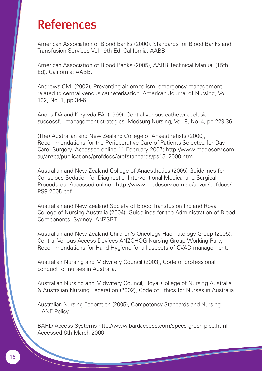# References

American Association of Blood Banks (2000), Standards for Blood Banks and Transfusion Services Vol 19th Ed. California: AABB.

American Association of Blood Banks (2005), AABB Technical Manual (15th Ed). California: AABB.

Andrews CM. (2002), Preventing air embolism: emergency management related to central venous catheterisation. American Journal of Nursing, Vol. 102, No. 1, pp.34-6.

Andris DA and Krzywda EA. (1999), Central venous catheter occlusion: successful management strategies. Medsurg Nursing, Vol. 8, No. 4, pp.229-36.

(The) Australian and New Zealand College of Anaesthetists (2000), Recommendations for the Perioperative Care of Patients Selected for Day Care Surgery. Accessed online 11 February 2007; http://www.medeserv.com. au/anzca/publications/profdocs/profstandards/ps15\_2000.htm

Australian and New Zealand College of Anaesthetics (2005) Guidelines for Conscious Sedation for Diagnostic, Interventional Medical and Surgical Procedures. Accessed online : http://www.medeserv.com.au/anzca/pdfdocs/ PS9-2005.pdf

Australian and New Zealand Society of Blood Transfusion Inc and Royal College of Nursing Australia (2004), Guidelines for the Administration of Blood Components. Sydney: ANZSBT.

Australian and New Zealand Children's Oncology Haematology Group (2005), Central Venous Access Devices ANZCHOG Nursing Group Working Party Recommendations for Hand Hygiene for all aspects of CVAD management.

Australian Nursing and Midwifery Council (2003), Code of professional conduct for nurses in Australia.

Australian Nursing and Midwifery Council, Royal College of Nursing Australia & Australian Nursing Federation (2002), Code of Ethics for Nurses in Australia.

Australian Nursing Federation (2005), Competency Standards and Nursing – ANF Policy

BARD Access Systems http://www.bardaccess.com/specs-grosh-picc.html Accessed 6th March 2006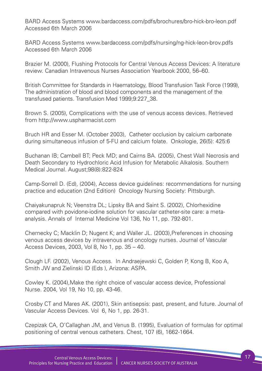BARD Access Systems www.bardaccess.com/pdfs/brochures/bro-hick-bro-leon.pdf Accessed 6th March 2006

BARD Access Systems www.bardaccess.com/pdfs/nursing/ng-hick-leon-brov.pdfs Accessed 6th March 2006

Brazier M. (2000), Flushing Protocols for Central Venous Access Devices: A literature review. Canadian Intravenous Nurses Association Yearbook 2000, 56–60.

British Committee for Standards in Haematology, Blood Transfusion Task Force (1999), The administration of blood and blood components and the management of the transfused patients. Transfusion Med 1999;9:227\_38.

Brown S. (2005), Complications with the use of venous access devices. Retrieved from http://www.uspharmacist.com

Bruch HR and Esser M. (October 2003), Catheter occlusion by calcium carbonate during simultaneous infusion of 5-FU and calcium folate. Onkologie, 26(5): 425:6

Buchanan IB; Cambell BT; Peck MD; and Cairns BA. (2005), Chest Wall Necrosis and Death Secondary to Hydrochloric Acid Infusion for Metabolic Alkalosis. Southern Medical Journal. August;98(8):822-824

Camp-Sorrell D. (Ed), (2004), Access device guidelines: recommendations for nursing practice and education (2nd Edition) Oncology Nursing Society: Pittsburgh.

Chaiyakunapruk N; Veenstra DL; Lipsky BA and Saint S. (2002), Chlorhexidine compared with povidone-iodine solution for vascular catheter-site care: a metaanalysis. Annals of Internal Medicine Vol 136, No 11, pp. 792-801.

Chernecky C; Macklin D; Nugent K; and Waller JL. (2003),Preferences in choosing venous access devices by intravenous and oncology nurses. Journal of Vascular Access Devices, 2003, Vol 8, No 1, pp. 35 – 40.

Clough LF. (2002), Venous Access. In Andraejewski C, Golden P, Kong B, Koo A, Smith JW and Zielinski ID (Eds ), Arizona: ASPA.

Cowley K. (2004),Make the right choice of vascular access device, Professional Nurse. 2004, Vol 19, No 10, pp. 43-46.

Crosby CT and Mares AK. (2001), Skin antisepsis: past, present, and future. Journal of Vascular Access Devices. Vol 6, No 1, pp. 26-31.

Czepizak CA, O'Callaghan JM, and Venus B. (1995), Evaluation of formulas for optimal positioning of central venous catheters. Chest, 107 (6), 1662-1664.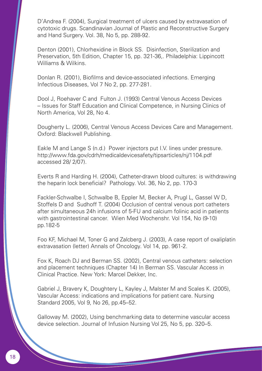D'Andrea F. (2004), Surgical treatment of ulcers caused by extravasation of cytotoxic drugs. Scandinavian Journal of Plastic and Reconstructive Surgery and Hand Surgery. Vol. 38, No 5, pp. 288-92.

Denton (2001), Chlorhexidine in Block SS. Disinfection, Sterilization and Preservation, 5th Edition, Chapter 15, pp. 321-36,. Philadelphia: Lippincott Williams & Wilkins.

Donlan R. (2001), Biofilms and device-associated infections. Emerging Infectious Diseases, Vol 7 No 2, pp. 277-281.

Dool J, Roehaver C and Fulton J. (1993) Central Venous Access Devices – Issues for Staff Education and Clinical Competence, in Nursing Clinics of North America, Vol 28, No 4.

Dougherty L. (2006), Central Venous Access Devices Care and Management. Oxford: Blackwell Publishing.

Eakle M and Lange S (n.d.) Power injectors put I.V. lines under pressure. http://www.fda.gov/cdrh/medicaldevicesafety/tipsarticles/nj/1104.pdf accessed 28/ 2/07).

Everts R and Harding H. (2004), Catheter-drawn blood cultures: is withdrawing the heparin lock beneficial? Pathology. Vol. 36, No 2, pp. 170-3

Fackler-Schwalbe I, Schwalbe B, Eppler M, Becker A, Prugl L, Gassel W D, Stoffels D and Sudhoff T. (2004) Occlusion of central venous port catheters after simultaneous 24h infusions of 5-FU and calcium folinic acid in patients with gastrointestinal cancer. Wien Med Wochenshr. Vol 154, No (9-10) pp.182-5

Foo KF, Michael M, Toner G and Zalcberg J. (2003), A case report of oxaliplatin extravasation (letter) Annals of Oncology. Vol 14, pp. 961-2.

Fox K, Roach DJ and Berman SS. (2002), Central venous catheters: selection and placement techniques (Chapter 14) In Berman SS. Vascular Access in Clinical Practice. New York: Marcel Dekker, Inc.

Gabriel J, Bravery K, Doughtery L, Kayley J, Malster M and Scales K. (2005), Vascular Access: indications and implications for patient care. Nursing Standard 2005, Vol 9, No 26, pp.45–52.

Galloway M. (2002), Using benchmarking data to determine vascular access device selection. Journal of Infusion Nursing Vol 25, No 5, pp. 320–5.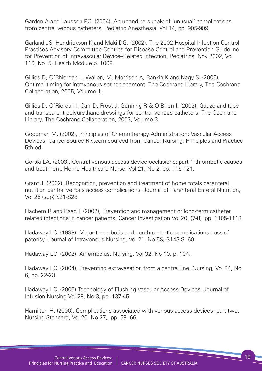Garden A and Laussen PC. (2004), An unending supply of 'unusual' complications from central venous catheters. Pediatric Anesthesia, Vol 14, pp. 905-909.

Garland JS, Hendrickson K and Maki DG. (2002), The 2002 Hospital Infection Control Practices Advisory Committee Centres for Disease Control and Prevention Guideline for Prevention of Intravascular Device–Related Infection. Pediatrics. Nov 2002, Vol 110, No 5, Health Module p. 1009.

Gillies D, O'Rhiordan L, Wallen, M, Morrison A, Rankin K and Nagy S. (2005), Optimal timing for intravenous set replacement. The Cochrane Library, The Cochrane Collaboration, 2005, Volume 1.

Gillies D, O'Riordan l, Carr D, Frost J, Gunning R & O'Brien I. (2003), Gauze and tape and transparent polyurethane dressings for central venous catheters. The Cochrane Library, The Cochrane Collaboration, 2003, Volume 3.

Goodman M. (2002), Principles of Chemotherapy Administration: Vascular Access Devices, CancerSource RN.com sourced from Cancer Nursing: Principles and Practice 5th ed.

Gorski LA. (2003), Central venous access device occlusions: part 1 thrombotic causes and treatment. Home Healthcare Nurse, Vol 21, No 2, pp. 115-121.

Grant J. (2002), Recognition, prevention and treatment of home totals parenteral nutrition central venous access complications. Journal of Parenteral Enteral Nutrition, Vol 26 (sup) S21-S28

Hachem R and Raad I. (2002), Prevention and management of long-term catheter related infections in cancer patients. Cancer Investigation Vol 20, (7-8), pp. 1105-1113.

Hadaway LC. (1998), Major thrombotic and nonthrombotic complications: loss of patency. Journal of Intravenous Nursing, Vol 21, No 5S, S143-S160.

Hadaway LC. (2002), Air embolus. Nursing, Vol 32, No 10, p. 104.

Hadaway LC. (2004), Preventing extravasation from a central line. Nursing, Vol 34, No 6, pp. 22-23.

Hadaway LC. (2006),Technology of Flushing Vascular Access Devices. Journal of Infusion Nursing Vol 29, No 3, pp. 137-45.

Hamilton H. (2006), Complications associated with venous access devices: part two. Nursing Standard, Vol 20, No 27, pp. 59 -66.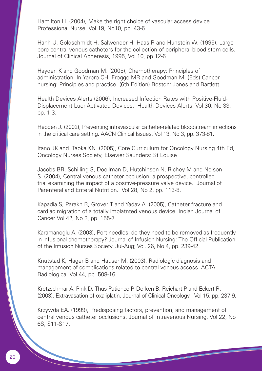Hamilton H. (2004), Make the right choice of vascular access device. Professional Nurse, Vol 19, No10, pp. 43-6.

Hanh U, Goldschmidt H, Salwender H, Haas R and Hunstein W. (1995), Largebore central venous catheters for the collection of peripheral blood stem cells. Journal of Clinical Apheresis, 1995, Vol 10, pp 12-6.

Hayden K and Goodman M. (2005), Chemotherapy: Principles of administration. In Yarbro CH, Frogge MR and Goodman M. (Eds) Cancer nursing: Principles and practice (6th Edition) Boston: Jones and Bartlett.

Health Devices Alerts (2006), Increased Infection Rates with Positive-Fluid-Displacement Luer-Activated Devices. Health Devices Alerts. Vol 30, No 33, pp. 1-3.

Hebden J. (2002), Preventing intravascular catheter-related bloodstream infections in the critical care setting. AACN Clinical Issues, Vol 13, No 3, pp. 373-81.

Itano JK and Taoka KN. (2005), Core Curriculum for Oncology Nursing 4th Ed, Oncology Nurses Society, Elsevier Saunders: St Louise

Jacobs BR, Schilling S, Doellman D, Hutchinson N, Richey M and Nelson S. (2004), Central venous catheter occlusion: a prospective, controlled trial examining the impact of a positive-pressure valve device. Journal of Parenteral and Enteral Nutrition. Vol 28, No 2, pp. 113-8.

Kapadia S, Parakh R, Grover T and Yadav A. (2005), Catheter fracture and cardiac migration of a totally implatnted venous device. Indian Journal of Cancer Vol 42, No 3, pp. 155-7.

Karamanoglu A. (2003), Port needles: do they need to be removed as frequently in infusional chemotherapy? Journal of Infusion Nursing: The Official Publication of the Infusion Nurses Society. Jul-Aug; Vol. 26, No 4, pp. 239-42.

Knutstad K, Hager B and Hauser M. (2003), Radiologic diagnosis and management of complications related to central venous access. ACTA Radiologica, Vol 44, pp. 508-16.

Kretzschmar A, Pink D, Thus-Patience P, Dorken B, Reichart P and Eckert R. (2003), Extravasation of oxaliplatin. Journal of Clinical Oncology , Vol 15, pp. 237-9.

Krzywda EA. (1999), Predisposing factors, prevention, and management of central venous catheter occlusions. Journal of Intravenous Nursing, Vol 22, No 6S, S11-S17.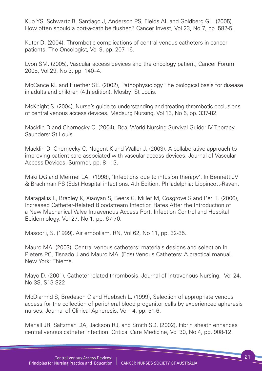Kuo YS, Schwartz B, Santiago J, Anderson PS, Fields AL and Goldberg GL. (2005), How often should a port-a-cath be flushed? Cancer Invest, Vol 23, No 7, pp. 582-5.

Kuter D. (2004), Thrombotic complications of central venous catheters in cancer patients. The Oncologist, Vol 9, pp. 207-16.

Lyon SM. (2005), Vascular access devices and the oncology patient, Cancer Forum 2005, Vol 29, No 3, pp. 140–4.

McCance KL and Huether SE. (2002), Pathophysiology The biological basis for disease in adults and children (4th edition). Mosby: St Louis.

McKnight S. (2004), Nurse's guide to understanding and treating thrombotic occlusions of central venous access devices. Medsurg Nursing, Vol 13, No 6, pp. 337-82.

Macklin D and Chernecky C. (2004), Real World Nursing Survival Guide: IV Therapy. Saunders: St Louis.

Macklin D, Chernecky C, Nugent K and Waller J. (2003), A collaborative approach to improving patient care associated with vascular access devices. Journal of Vascular Access Devices. Summer, pp. 8– 13.

Maki DG and Mermel LA. (1998), 'Infections due to infusion therapy'. In Bennett JV & Brachman PS (Eds).Hospital infections. 4th Edition. Philadelphia: Lippincott-Raven.

Maragakis L, Bradley K, Xiaoyan S, Beers C, Miller M, Cosgrove S and Perl T. (2006), Increased Catheter-Related Bloodstream Infection Rates After the Introduction of a New Mechanical Valve Intravenous Access Port. Infection Control and Hospital Epidemiology. Vol 27, No 1, pp. 67-70.

Masoorli, S. (1999). Air embolism. RN, Vol 62, No 11, pp. 32-35.

Mauro MA. (2003), Central venous catheters: materials designs and selection In Pieters PC, Tisnado J and Mauro MA. (Eds) Venous Catheters: A practical manual. New York: Thieme.

Mayo D. (2001), Catheter-related thrombosis. Journal of Intravenous Nursing, Vol 24, No 3S, S13-S22

McDiarmid S, Bredeson C and Huebsch L. (1999), Selection of appropriate venous access for the collection of peripheral blood progenitor cells by experienced apheresis nurses, Journal of Clinical Apheresis, Vol 14, pp. 51-6.

Mehall JR, Saltzman DA, Jackson RJ, and Smith SD. (2002), Fibrin sheath enhances central venous catheter infection. Critical Care Medicine, Vol 30, No 4, pp. 908-12.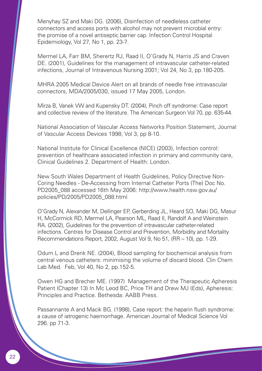Menyhay SZ and Maki DG. (2006), Disinfection of needleless catheter connectors and access ports with alcohol may not prevent microbial entry: the promise of a novel antiseptic barrier cap. Infection Control Hospital Epidemiology, Vol 27, No 1, pp. 23-7.

Mermel LA, Farr BM, Sherertz RJ, Raad II, O'Grady N, Harris JS and Craven DE. (2001), Guidelines for the management of intravascular catheter-related infections, Journal of Intravenous Nursing 2001; Vol 24, No 3, pp.180-205.

MHRA 2005 Medical Device Alert on all brands of needle free intravascular connectors, MDA/2005/030, issued 17 May 2005, London.

Mirza B, Vanek VW and Kupensky DT. (2004), Pinch off syndrome: Case report and collective review of the literature. The American Surgeon Vol 70, pp. 635-44.

National Association of Vascular Access Networks Position Statement, Journal of Vascular Access Devices 1998; Vol 3, pp 8-10.

National Institute for Clinical Excellence (NICE) (2003), Infection control: prevention of healthcare associated infection in primary and community care, Clinical Guidelines 2. Department of Health: London.

New South Wales Department of Health Guidelines, Policy Directive Non-Coring Needles - De-Accessing from Internal Catheter Ports (The) Doc No. PD2005\_088 accessed 16th May 2006: http://www.health.nsw.gov.au/ policies/PD/2005/PD2005\_088.html

O'Grady N, Alexander M, Dellinger EP, Gerberding JL, Heard SO, Maki DG, Masur H, McCormick RD, Mermel LA, Pearson ML, Raad II, Randolf A and Weinstein RA. (2002), Guidelines for the prevention of intravascular catheter-related infections. Centres for Disease Control and Prevention, Morbidity and Mortality Recommendations Report, 2002, August Vol 9, No 51, (RR – 10), pp. 1-29.

Odum L and Drenk NE. (2004), Blood sampling for biochemical analysis from central venous catheters: minimising the volume of discard blood. Clin Chem Lab Med. Feb, Vol 40, No 2, pp.152-5.

Owen HG and Brecher ME. (1997) Management of the Therapeutic Apheresis Patient (Chapter 13) In Mc Leod BC, Price TH and Drew MJ (Eds), Apheresis: Principles and Practice. Bethesda: AABB Press.

Passannante A and Macik BG. (1998), Case report: the heparin flush syndrome: a cause of iatrogenic haemorrhage. American Journal of Medical Science Vol 296. pp 71-3.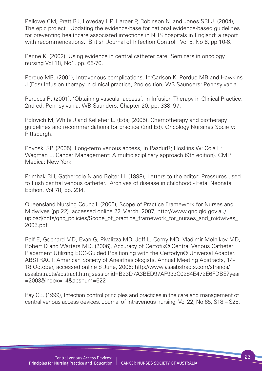Pellowe CM, Pratt RJ, Loveday HP, Harper P, Robinson N. and Jones SRLJ. (2004), The epic project. Updating the evidence-base for national evidence-based guidelines for preventing healthcare associated infections in NHS hospitals in England: a report with recommendations. British Journal of Infection Control. Vol 5, No 6, pp.10-6.

Penne K. (2002), Using evidence in central catheter care, Seminars in oncology nursing Vol 18, No1, pp. 66-70.

Perdue MB. (2001), Intravenous complications. In:Carlson K; Perdue MB and Hawkins J (Eds) Infusion therapy in clinical practice, 2nd edition, WB Saunders: Pennsylvania.

Perucca R. (2001), 'Obtaining vascular access'. In Infusion Therapy in Clinical Practice. 2nd ed. Pennsylvania: WB Saunders, Chapter 20, pp. 338–97.

Polovich M, White J and Kelleher L. (Eds) (2005), Chemotherapy and biotherapy guidelines and recommendations for practice (2nd Ed). Oncology Nursines Society: Pittsburgh.

Povoski SP. (2005), Long-term venous access, In PazdurR; Hoskins W; Coia L; Wagman L. Cancer Management: A multidisciplinary approach (9th edition). CMP Medica: New York.

Primhak RH, Gathercole N and Reiter H. (1998), Letters to the editor: Pressures used to flush central venous catheter. Archives of disease in childhood - Fetal Neonatal Edition. Vol 78, pp. 234.

Queensland Nursing Council. (2005), Scope of Practice Framework for Nurses and Midwives (pp 22). accessed online 22 March, 2007, http://www.qnc.qld.gov.au/ upload/pdfs/qnc\_policies/Scope\_of\_practice\_framework\_for\_nurses\_and\_midwives\_ 2005.pdf

Ralf E, Gebhard MD, Evan G, Pivalizza MD, Jeff L, Cerny MD, Vladimir Melnikov MD, Robert D and Warters MD. (2006), Accuracy of Certofix® Central Venous Catheter Placement Utilizing ECG-Guided Positioning with the Certodyn® Universal Adapter. ABSTRACT: American Society of Anesthesiologists. Annual Meeting Abstracts, 14- 18 October, accessed online 8 June, 2006: http://www.asaabstracts.com/strands/ asaabstracts/abstract.htm;jsessionid=B23D7A3BED97AF933C0284E472E6FDBE?year =2003&index=14&absnum=622

Ray CE. (1999), Infection control principles and practices in the care and management of central venous access devices. Journal of Intravenous nursing, Vol 22, No 65, S18 – S25.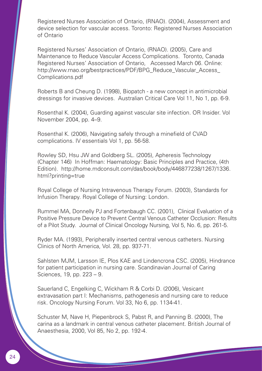Registered Nurses Association of Ontario, (RNAO). (2004), Assessment and device selection for vascular access. Toronto: Registered Nurses Association of Ontario

Registered Nurses' Association of Ontario, (RNAO). (2005), Care and Maintenance to Reduce Vascular Access Complications. Toronto, Canada Registered Nurses' Association of Ontario, Accessed March 06. Online: http://www.rnao.org/bestpractices/PDF/BPG\_Reduce\_Vascular\_Access Complications.pdf

Roberts B and Cheung D. (1998), Biopatch - a new concept in antimicrobial dressings for invasive devices. Australian Critical Care Vol 11, No 1, pp. 6-9.

Rosenthal K. (2004), Guarding against vascular site infection. OR Insider. Vol November 2004, pp. 4–9.

Rosenthal K. (2006), Navigating safely through a minefield of CVAD complications. IV essentials Vol 1, pp. 56-58.

Rowley SD, Hsu JW and Goldberg SL. (2005), Apheresis Technology (Chapter 146) In Hoffman: Haematology: Basic Principles and Practice, (4th Edition). http://home.mdconsult.com/das/book/body/446877238/1267/1336. html?printing=true

Royal College of Nursing Intravenous Therapy Forum. (2003), Standards for Infusion Therapy. Royal College of Nursing: London.

Rummel MA, Donnelly PJ and Fortenbaugh CC. (2001), Clinical Evaluation of a Positive Pressure Device to Prevent Central Venous Catheter Occlusion: Results of a Pilot Study. Journal of Clinical Oncology Nursing, Vol 5, No. 6, pp. 261-5.

Ryder MA. (1993), Peripherally inserted central venous catheters. Nursing Clinics of North America, Vol. 28, pp. 937-71.

Sahlsten MJM, Larsson IE, Plos KAE and Lindencrona CSC. (2005), Hindrance for patient participation in nursing care. Scandinavian Journal of Caring Sciences, 19, pp. 223 – 9.

Sauerland C, Engelking C, Wickham R & Corbi D. (2006), Vesicant extravasation part I: Mechanisms, pathogenesis and nursing care to reduce risk. Oncology Nursing Forum. Vol 33, No 6, pp. 1134-41.

Schuster M, Nave H, Piepenbrock S, Pabst R, and Panning B. (2000), The carina as a landmark in central venous catheter placement. British Journal of Anaesthesia, 2000, Vol 85, No 2, pp. 192-4.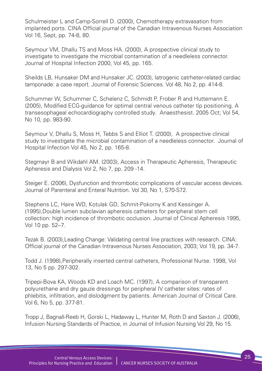Schulmeister L and Camp-Sorrell D. (2000), Chemotherapy extravasation from implanted ports. CINA Official journal of the Canadian Intravenous Nurses Association Vol 16, Sept, pp. 74-8, 80.

Seymour VM, Dhallu TS and Moss HA. (2000), A prospective clinical study to investigate to investigate the microbial contamination of a needleless connector. Journal of Hospital Infection 2000, Vol 45, pp. 165.

Sheilds LB, Hunsaker DM and Hunsaker JC. (2003), Iatrogenic catrheter-related cardiac tamponade: a case report. Journal of Forensic Sciences. Vol 48, No 2, pp. 414-8.

Schummer W, Schummer C, Schelenz C, Schmidt P, Frober R and Huttemann E. (2005), Modified ECG-guidance for optimal central venous catheter tip positioning. A transesophageal echocardiography controlled study. Anaesthesist. 2005 Oct; Vol 54, No 10, pp. 983-90.

Seymour V, Dhallu S, Moss H, Tebbs S and Elliot T. (2000), A prospective clinical study to investigate the microbial contamination of a needleless connector. Journal of Hospital Infection Vol 45, No 2, pp. 165-8.

Stegmayr B and Wikdahl AM. (2003), Access in Therapeutic Apheresis, Therapeutic Apheresis and Dialysis Vol 2, No 7, pp. 209 -14.

Steiger E. (2006), Dysfunction and thrombotic complications of vascular access devices. Journal of Parenteral and Enteral Nutrition. Vol 30, No 1, S70-S72.

Stephens LC, Haire WD, Kotulak GD, Schmit-Pokorny K and Kessinger A. (1995),Double lumen subclavian apheresis catheters for peripheral stem cell collection: high incidence of thrombotic occlusion. Journal of Clinical Apheresis 1995, Vol 10 pp. 52–7.

Tezak B. (2003),Leading Change: Validating central line practices with research. CINA: Official journal of the Canadian Intravenous Nurses Association, 2003; Vol 19, pp. 34-7.

Todd J. (1998),Peripherally inserted central catheters, Professional Nurse. 1998, Vol 13, No 5 pp. 297-302.

Tripepi-Bova KA, Woods KD and Loach MC. (1997), A comparison of transparent polyurethane and dry gauze dressings for peripheral IV catheter sites: rates of phlebitis, infiltration, and dislodgment by patients. American Journal of Critical Care. Vol 6, No 5, pp. 377-81.

Tropp J, Bagnall-Reeb H, Gorski L, Hadaway L, Hunter M, Roth D and Saxton J. (2006), Infusion Nursing Standards of Practice, in Journal of Infusion Nursing Vol 29, No 15.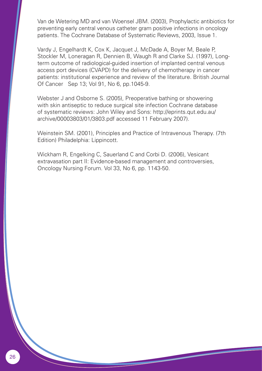Van de Wetering MD and van Woensel JBM. (2003), Prophylactic antibiotics for preventing early central venous catheter gram positive infections in oncology patients. The Cochrane Database of Systematic Reviews, 2003, Issue 1.

Vardy J, Engelhardt K, Cox K, Jacquet J, McDade A, Boyer M, Beale P, Stockler M, Loneragan R, Dennien B, Waugh R and Clarke SJ. (1997), Longterm outcome of radiological-guided insertion of implanted central venous access port devices (CVAPD) for the delivery of chemotherapy in cancer patients: institutional experience and review of the literature. British Journal Of Cancer Sep 13; Vol 91, No 6, pp.1045-9.

Webster J and Osborne S. (2005), Preoperative bathing or showering with skin antiseptic to reduce surgical site infection Cochrane database of systematic reviews: John Wiley and Sons: http://eprints.qut.edu.au/ archive/00003803/01/3803.pdf accessed 11 February 2007).

Weinstein SM. (2001), Principles and Practice of Intravenous Therapy. (7th Edition) Philadelphia: Lippincott.

Wickham R, Engelking C, Sauerland C and Corbi D. (2006), Vesicant extravasation part II: Evidence-based management and controversies, Oncology Nursing Forum. Vol 33, No 6, pp. 1143-50.